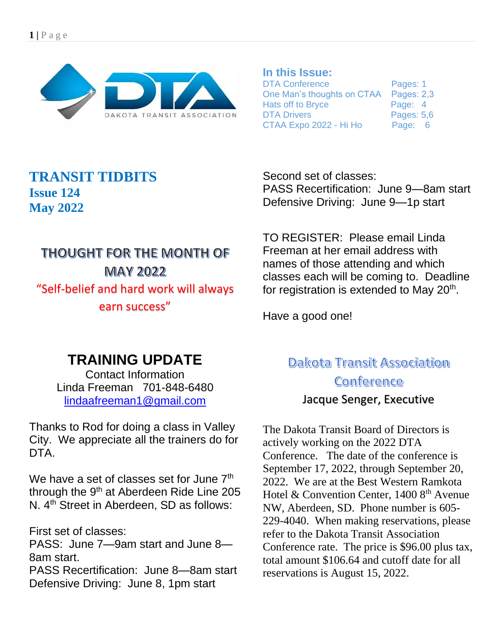

#### **In this Issue:**

DTA Conference Pages: 1 One Man's thoughts on CTAA Pages: 2,3 Hats off to Bryce Page: 4 DTA Drivers **Pages: 5,6** CTAA Expo 2022 - Hi Ho Page: 6

#### **TRANSIT TIDBITS Issue 124 May 2022**

# THOUGHT FOR THE MONTH OF **MAY 2022** "Self-belief and hard work will always earn success"

Second set of classes: PASS Recertification: June 9—8am start Defensive Driving: June 9—1p start

TO REGISTER: Please email Linda Freeman at her email address with names of those attending and which classes each will be coming to. Deadline for registration is extended to May 20<sup>th</sup>.

Have a good one!

# **TRAINING UPDATE**

Contact Information Linda Freeman 701-848-6480 [lindaafreeman1@gmail.com](mailto:lindaafreeman1@gmail.com)

Thanks to Rod for doing a class in Valley City. We appreciate all the trainers do for DTA.

We have a set of classes set for June 7<sup>th</sup> through the 9<sup>th</sup> at Aberdeen Ride Line 205 N. 4<sup>th</sup> Street in Aberdeen, SD as follows:

First set of classes:

PASS: June 7—9am start and June 8— 8am start.

PASS Recertification: June 8—8am start Defensive Driving: June 8, 1pm start

### Dakota Transit Association Conference Jacque Senger, Executive

The Dakota Transit Board of Directors is actively working on the 2022 DTA Conference. The date of the conference is September 17, 2022, through September 20, 2022. We are at the Best Western Ramkota Hotel & Convention Center,  $14008^{\text{th}}$  Avenue NW, Aberdeen, SD. Phone number is 605- 229-4040. When making reservations, please refer to the Dakota Transit Association Conference rate. The price is \$96.00 plus tax, total amount \$106.64 and cutoff date for all reservations is August 15, 2022.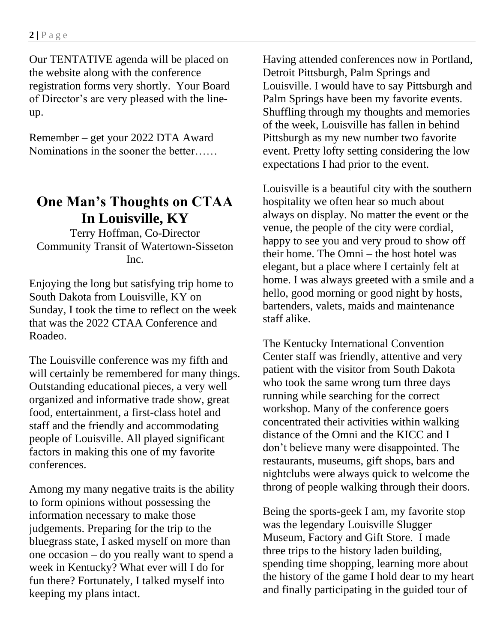Our TENTATIVE agenda will be placed on the website along with the conference registration forms very shortly. Your Board of Director's are very pleased with the lineup.

Remember – get your 2022 DTA Award Nominations in the sooner the better……

### **One Man's Thoughts on CTAA In Louisville, KY**

Terry Hoffman, Co-Director Community Transit of Watertown-Sisseton Inc.

Enjoying the long but satisfying trip home to South Dakota from Louisville, KY on Sunday, I took the time to reflect on the week that was the 2022 CTAA Conference and Roadeo.

The Louisville conference was my fifth and will certainly be remembered for many things. Outstanding educational pieces, a very well organized and informative trade show, great food, entertainment, a first-class hotel and staff and the friendly and accommodating people of Louisville. All played significant factors in making this one of my favorite conferences.

Among my many negative traits is the ability to form opinions without possessing the information necessary to make those judgements. Preparing for the trip to the bluegrass state, I asked myself on more than one occasion – do you really want to spend a week in Kentucky? What ever will I do for fun there? Fortunately, I talked myself into keeping my plans intact.

Having attended conferences now in Portland, Detroit Pittsburgh, Palm Springs and Louisville. I would have to say Pittsburgh and Palm Springs have been my favorite events. Shuffling through my thoughts and memories of the week, Louisville has fallen in behind Pittsburgh as my new number two favorite event. Pretty lofty setting considering the low expectations I had prior to the event.

Louisville is a beautiful city with the southern hospitality we often hear so much about always on display. No matter the event or the venue, the people of the city were cordial, happy to see you and very proud to show off their home. The Omni – the host hotel was elegant, but a place where I certainly felt at home. I was always greeted with a smile and a hello, good morning or good night by hosts, bartenders, valets, maids and maintenance staff alike.

The Kentucky International Convention Center staff was friendly, attentive and very patient with the visitor from South Dakota who took the same wrong turn three days running while searching for the correct workshop. Many of the conference goers concentrated their activities within walking distance of the Omni and the KICC and I don't believe many were disappointed. The restaurants, museums, gift shops, bars and nightclubs were always quick to welcome the throng of people walking through their doors.

Being the sports-geek I am, my favorite stop was the legendary Louisville Slugger Museum, Factory and Gift Store. I made three trips to the history laden building, spending time shopping, learning more about the history of the game I hold dear to my heart and finally participating in the guided tour of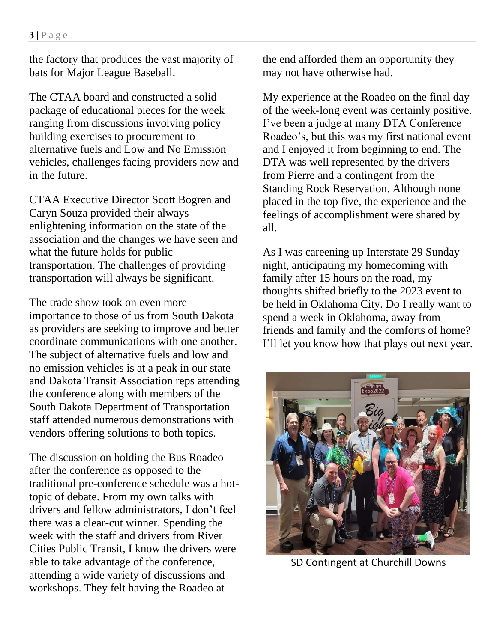the factory that produces the vast majority of bats for Major League Baseball.

The CTAA board and constructed a solid package of educational pieces for the week ranging from discussions involving policy building exercises to procurement to alternative fuels and Low and No Emission vehicles, challenges facing providers now and in the future.

CTAA Executive Director Scott Bogren and Caryn Souza provided their always enlightening information on the state of the association and the changes we have seen and what the future holds for public transportation. The challenges of providing transportation will always be significant.

The trade show took on even more importance to those of us from South Dakota as providers are seeking to improve and better coordinate communications with one another. The subject of alternative fuels and low and no emission vehicles is at a peak in our state and Dakota Transit Association reps attending the conference along with members of the South Dakota Department of Transportation staff attended numerous demonstrations with vendors offering solutions to both topics.

The discussion on holding the Bus Roadeo after the conference as opposed to the traditional pre-conference schedule was a hottopic of debate. From my own talks with drivers and fellow administrators, I don't feel there was a clear-cut winner. Spending the week with the staff and drivers from River Cities Public Transit, I know the drivers were able to take advantage of the conference, attending a wide variety of discussions and workshops. They felt having the Roadeo at

the end afforded them an opportunity they may not have otherwise had.

My experience at the Roadeo on the final day of the week-long event was certainly positive. I've been a judge at many DTA Conference Roadeo's, but this was my first national event and I enjoyed it from beginning to end. The DTA was well represented by the drivers from Pierre and a contingent from the Standing Rock Reservation. Although none placed in the top five, the experience and the feelings of accomplishment were shared by all.

As I was careening up Interstate 29 Sunday night, anticipating my homecoming with family after 15 hours on the road, my thoughts shifted briefly to the 2023 event to be held in Oklahoma City. Do I really want to spend a week in Oklahoma, away from friends and family and the comforts of home? I'll let you know how that plays out next year.



SD Contingent at Churchill Downs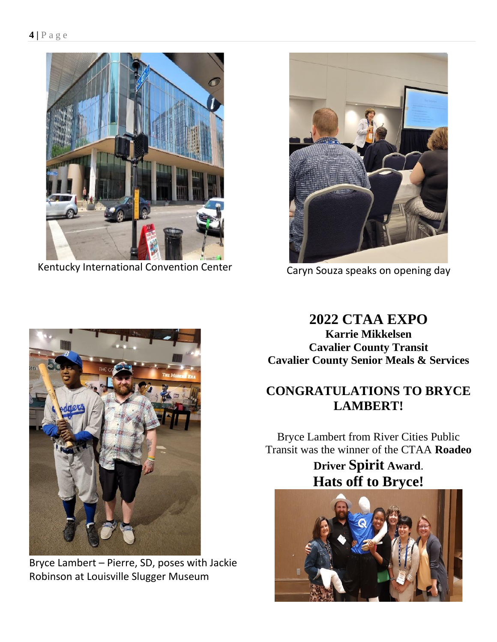

Kentucky International Convention Center



Caryn Souza speaks on opening day



Bryce Lambert – Pierre, SD, poses with Jackie Robinson at Louisville Slugger Museum

### **2022 CTAA EXPO**

**Karrie Mikkelsen Cavalier County Transit Cavalier County Senior Meals & Services**

#### **CONGRATULATIONS TO BRYCE LAMBERT!**

Bryce Lambert from River Cities Public Transit was the winner of the CTAA **Roadeo**

> **Driver Spirit Award**. **Hats off to Bryce!**

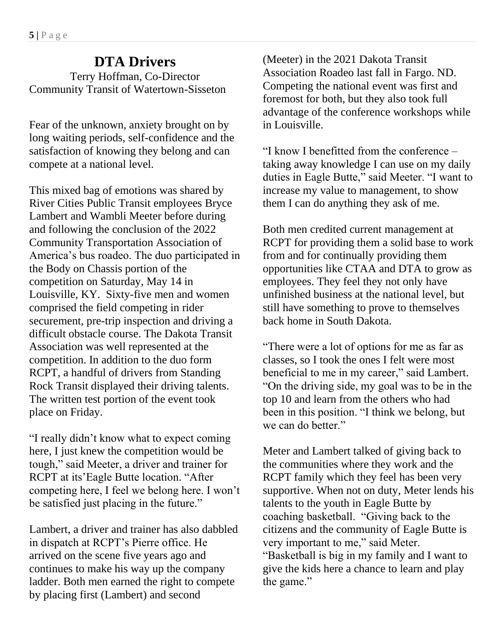### **DTA Drivers**

Terry Hoffman, Co-Director Community Transit of Watertown-Sisseton

Fear of the unknown, anxiety brought on by long waiting periods, self-confidence and the satisfaction of knowing they belong and can compete at a national level.

This mixed bag of emotions was shared by River Cities Public Transit employees Bryce Lambert and Wambli Meeter before during and following the conclusion of the 2022 Community Transportation Association of America's bus roadeo. The duo participated in the Body on Chassis portion of the competition on Saturday, May 14 in Louisville, KY. Sixty-five men and women comprised the field competing in rider securement, pre-trip inspection and driving a difficult obstacle course. The Dakota Transit Association was well represented at the competition. In addition to the duo form RCPT, a handful of drivers from Standing Rock Transit displayed their driving talents. The written test portion of the event took place on Friday.

"I really didn't know what to expect coming here, I just knew the competition would be tough," said Meeter, a driver and trainer for RCPT at its'Eagle Butte location. "After competing here, I feel we belong here. I won't be satisfied just placing in the future."

Lambert, a driver and trainer has also dabbled in dispatch at RCPT's Pierre office. He arrived on the scene five years ago and continues to make his way up the company ladder. Both men earned the right to compete by placing first (Lambert) and second

(Meeter) in the 2021 Dakota Transit Association Roadeo last fall in Fargo. ND. Competing the national event was first and foremost for both, but they also took full advantage of the conference workshops while in Louisville.

"I know I benefitted from the conference – taking away knowledge I can use on my daily duties in Eagle Butte," said Meeter. "I want to increase my value to management, to show them I can do anything they ask of me.

Both men credited current management at RCPT for providing them a solid base to work from and for continually providing them opportunities like CTAA and DTA to grow as employees. They feel they not only have unfinished business at the national level, but still have something to prove to themselves back home in South Dakota.

"There were a lot of options for me as far as classes, so I took the ones I felt were most beneficial to me in my career," said Lambert. "On the driving side, my goal was to be in the top 10 and learn from the others who had been in this position. "I think we belong, but we can do better."

Meter and Lambert talked of giving back to the communities where they work and the RCPT family which they feel has been very supportive. When not on duty, Meter lends his talents to the youth in Eagle Butte by coaching basketball. "Giving back to the citizens and the community of Eagle Butte is very important to me," said Meter. "Basketball is big in my family and I want to give the kids here a chance to learn and play the game."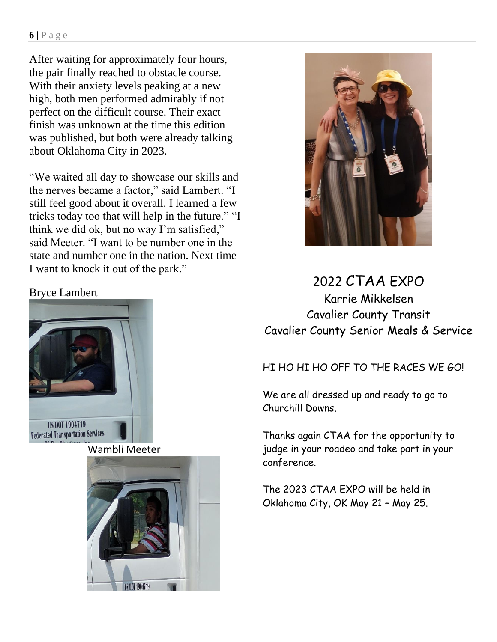#### **6 |** P a g e

After waiting for approximately four hours, the pair finally reached to obstacle course. With their anxiety levels peaking at a new high, both men performed admirably if not perfect on the difficult course. Their exact finish was unknown at the time this edition was published, but both were already talking about Oklahoma City in 2023.

"We waited all day to showcase our skills and the nerves became a factor," said Lambert. "I still feel good about it overall. I learned a few tricks today too that will help in the future." "I think we did ok, but no way I'm satisfied," said Meeter. "I want to be number one in the state and number one in the nation. Next time I want to knock it out of the park."



#### 2022 CTAA EXPO Karrie Mikkelsen Cavalier County Transit Cavalier County Senior Meals & Service

#### HI HO HI HO OFF TO THE RACES WE GO!

We are all dressed up and ready to go to Churchill Downs.

Thanks again CTAA for the opportunity to judge in your roadeo and take part in your conference.

The 2023 CTAA EXPO will be held in Oklahoma City, OK May 21 – May 25.

#### Bryce Lambert